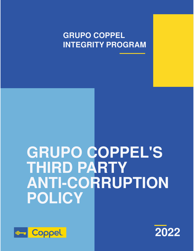**GRUPO COPPEL INTEGRITY PROGRAM**

# **GRUPO COPPEL'S THIRD PARTY ANTI-CORRUPTION POLICY**



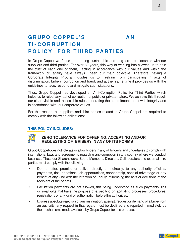### GRUPO COPPEL'S AN **TI - C O R R U P T I O N POLICY FOR THIRD PARTIES**

In Grupo Coppel we focus on creating sustainable and long-term relationships with our suppliers and third parties. For over 80 years, this way of working has allowed us to gain the trust of each one of them, acting in accordance with our values and within the framework of legality have always been our main objective. Therefore, having a Corporate Integrity Program guides us to refrain from participating in acts of discrimination, bribery, corruption and fraud, and at the same time it provides us with the guidelines to face, respond and mitigate such situations.

Thus, Grupo Coppel has developed an Anti-Corruption Policy for Third Parties which helps us to reject any act of corruption of public or private nature. We achieve this through our clear, visible and accessible rules, reiterating the commitment to act with integrity and in accordance with our corporate values.

For this reason, all suppliers and third parties related to Grupo Coppel are required to comply with the following obligations:

#### **THIS POLICY INCLUDES:**



#### **ZERO TOLERANCE FOR OFFERING, ACCEPTING AND/OR REQUESTING OF BRIBERY IN ANY OF ITS FORMS**

Grupo Coppel does not tolerate or allow bribery in any of its forms and undertakes to comply with international laws and agreements regarding anti-corruption in any country where we conduct business. Thus, our Shareholders, Board Members, Directors, Collaborators and external third parties must comply with the following:

- Do not offer, promise or deliver directly or indirectly, to any authority officials, payments, tips, donations, job opportunities, sponsorship, special advantage or any benefit of any kind with the intention of unduly influencing the acts or decisions of the recipient of the benefit.
- Facilitation payments are not allowed, this being understood as such payments, tips or small gifts that have the purpose of expediting or facilitating processes, procedures, registrations or any kind of authorization before the authorities.
- Express absolute rejection of any insinuation, attempt, request or demand of a bribe from an authority, any request in that regard must be declined and reported immediately by the mechanisms made available by Grupo Coppel for this purpose.

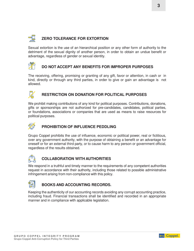## **ZERO TOLERANCE FOR EXTORTION**

Sexual extortion is the use of an hierarchical position or any other form of authority to the detriment of the sexual dignity of another person, in order to obtain an undue benefit or advantage, regardless of gender or sexual identity.



#### **DO NOT ACCEPT ANY BENEFITS FOR IMPROPER PURPOSES**

The receiving, offering, promising or granting of any gift, favor or attention, in cash or in kind, directly or through any third parties, in order to give or gain an advantage is not allowed.



#### **RESTRICTION ON DONATION FOR POLITICAL PURPOSES**

We prohibit making contributions of any kind for political purposes. Contributions, donations, gifts or sponsorships are not authorized for pre-candidates, candidates, political parties, or foundations, associations or companies that are used as means to raise resources for political purposes.



#### **PROHIBITION OF INFLUENCE PEDDLING**

Grupo Coppel prohibits the use of influence, economic or political power, real or fictitious, over any government authority, with the purpose of obtaining a benefit or an advantage for oneself or for an external third party, or to cause harm to any person or government official, regardless of the results obtained.



#### **COLLABORATION WITH AUTHORITIES**

We respond in a truthful and timely manner to the requirements of any competent authorities request in accordance with their authority, including those related to possible administrative infringement arising from non-compliance with this policy.



#### **BOOKS AND ACCOUNTING RECORDS.**

Keeping the authenticity of our accounting records avoiding any corrupt accounting practice, including fraud. Financial transactions shall be identified and recorded in an appropriate manner and in compliance with applicable legislation.